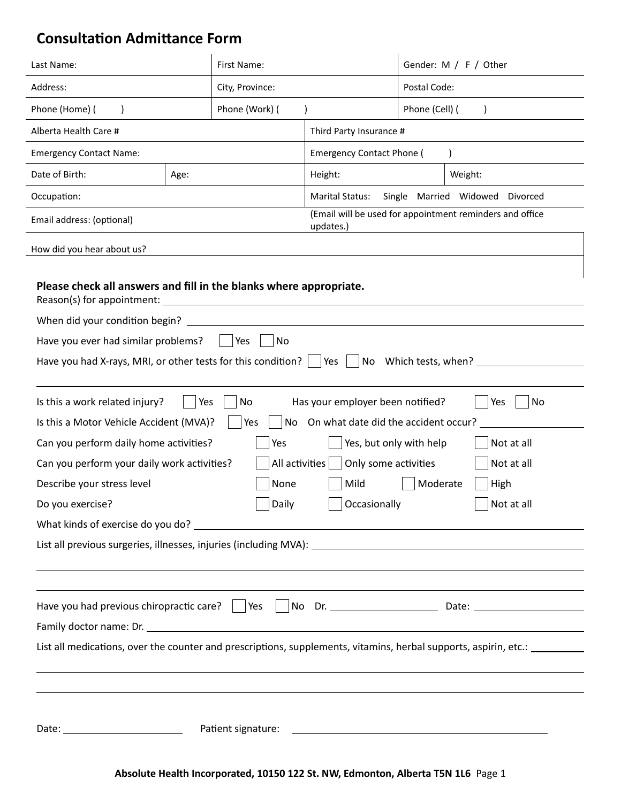# **Consultation Admittance Form**

| Last Name:                                                                                                                                                                                                                     |      | First Name:     |                                                                          |                | Gender: M / F / Other                                                                                                                   |  |
|--------------------------------------------------------------------------------------------------------------------------------------------------------------------------------------------------------------------------------|------|-----------------|--------------------------------------------------------------------------|----------------|-----------------------------------------------------------------------------------------------------------------------------------------|--|
| Address:                                                                                                                                                                                                                       |      | City, Province: |                                                                          | Postal Code:   |                                                                                                                                         |  |
| Phone (Home) (<br>$\lambda$                                                                                                                                                                                                    |      | Phone (Work) (  |                                                                          | Phone (Cell) ( | $\lambda$                                                                                                                               |  |
| Alberta Health Care #                                                                                                                                                                                                          |      |                 | Third Party Insurance #                                                  |                |                                                                                                                                         |  |
| <b>Emergency Contact Name:</b>                                                                                                                                                                                                 |      |                 | <b>Emergency Contact Phone (</b>                                         |                |                                                                                                                                         |  |
| Date of Birth:                                                                                                                                                                                                                 | Age: |                 | Height:                                                                  |                | Weight:                                                                                                                                 |  |
| Occupation:                                                                                                                                                                                                                    |      |                 | <b>Marital Status:</b>                                                   |                | Single Married Widowed Divorced                                                                                                         |  |
| Email address: (optional)                                                                                                                                                                                                      |      |                 | updates.)                                                                |                | (Email will be used for appointment reminders and office                                                                                |  |
| How did you hear about us?                                                                                                                                                                                                     |      |                 |                                                                          |                |                                                                                                                                         |  |
| Please check all answers and fill in the blanks where appropriate.<br>Reason(s) for appointment:<br>When did your condition begin?                                                                                             |      |                 |                                                                          |                |                                                                                                                                         |  |
| Have you ever had similar problems?                                                                                                                                                                                            |      | Yes<br>No       |                                                                          |                |                                                                                                                                         |  |
| Have you had X-rays, MRI, or other tests for this condition? $\vert \quad \vert$ Yes                                                                                                                                           |      |                 |                                                                          |                | No Which tests, when? _____                                                                                                             |  |
|                                                                                                                                                                                                                                |      |                 |                                                                          |                |                                                                                                                                         |  |
| Is this a work related injury?<br>Is this a Motor Vehicle Accident (MVA)?                                                                                                                                                      | Yes  | No<br>Yes<br>No | Has your employer been notified?<br>On what date did the accident occur? |                | Yes<br>No                                                                                                                               |  |
| Can you perform daily home activities?                                                                                                                                                                                         |      | Yes             | Yes, but only with help                                                  |                | Not at all                                                                                                                              |  |
| Can you perform your daily work activities?                                                                                                                                                                                    |      | All activities  | Only some activities                                                     |                | Not at all                                                                                                                              |  |
| Describe your stress level                                                                                                                                                                                                     |      | None            | Mild                                                                     | Moderate       | High                                                                                                                                    |  |
| Do you exercise?                                                                                                                                                                                                               |      | Daily           | Occasionally                                                             |                | Not at all                                                                                                                              |  |
|                                                                                                                                                                                                                                |      |                 |                                                                          |                |                                                                                                                                         |  |
|                                                                                                                                                                                                                                |      |                 |                                                                          |                |                                                                                                                                         |  |
|                                                                                                                                                                                                                                |      |                 |                                                                          |                | ,我们也不会有什么。""我们的人,我们也不会有什么?""我们的人,我们也不会有什么?""我们的人,我们也不会有什么?""我们的人,我们也不会有什么?""我们的人                                                        |  |
|                                                                                                                                                                                                                                |      |                 |                                                                          |                |                                                                                                                                         |  |
|                                                                                                                                                                                                                                |      |                 |                                                                          |                | Have you had previous chiropractic care?   Yes   No Dr. _ _ _ _ _ _ Date: _ _ _ _ _ _ _ _ _ _ _ _ _ _ _ _ _ _                           |  |
| Family doctor name: Dr. The contract of the contract of the contract of the contract of the contract of the contract of the contract of the contract of the contract of the contract of the contract of the contract of the co |      |                 |                                                                          |                |                                                                                                                                         |  |
|                                                                                                                                                                                                                                |      |                 |                                                                          |                | List all medications, over the counter and prescriptions, supplements, vitamins, herbal supports, aspirin, etc.: ______________________ |  |
|                                                                                                                                                                                                                                |      |                 |                                                                          |                |                                                                                                                                         |  |
|                                                                                                                                                                                                                                |      |                 |                                                                          |                |                                                                                                                                         |  |
|                                                                                                                                                                                                                                |      |                 |                                                                          |                |                                                                                                                                         |  |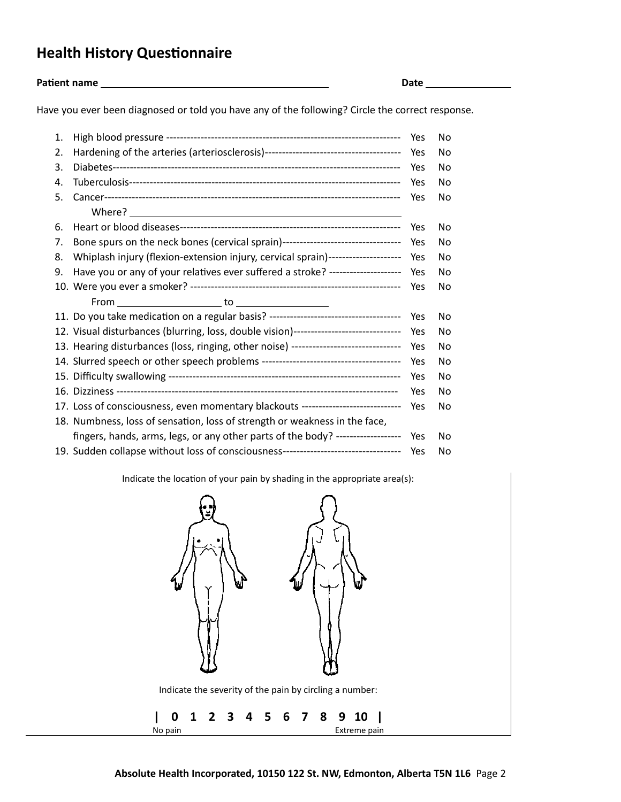## **Health History Questionnaire**

**Patient name Date**

Have you ever been diagnosed or told you have any of the following? Circle the correct response.

| 1. |                                                                                       | Yes | No             |
|----|---------------------------------------------------------------------------------------|-----|----------------|
| 2. |                                                                                       | Yes | No             |
| 3. |                                                                                       | Yes | No             |
| 4. |                                                                                       | Yes | No.            |
| 5. |                                                                                       | Yes | No             |
|    |                                                                                       |     |                |
| 6. |                                                                                       | Yes | No             |
| 7. | Bone spurs on the neck bones (cervical sprain)----------------------------------      | Yes | No             |
| 8. | Whiplash injury (flexion-extension injury, cervical sprain)---------------------      | Yes | No             |
| 9. | Have you or any of your relatives ever suffered a stroke? ---------------------       | Yes | No             |
|    |                                                                                       | Yes | No             |
|    |                                                                                       |     |                |
|    |                                                                                       | Yes | No             |
|    | 12. Visual disturbances (blurring, loss, double vision)------------------------------ |     |                |
|    |                                                                                       | Yes | N <sub>0</sub> |
|    | 13. Hearing disturbances (loss, ringing, other noise) ----------------------------    | Yes | No             |
|    |                                                                                       | Yes | No             |
|    |                                                                                       | Yes | No             |
|    |                                                                                       | Yes | No             |
|    | 17. Loss of consciousness, even momentary blackouts ----------------------------      | Yes | No             |
|    | 18. Numbness, loss of sensation, loss of strength or weakness in the face,            |     |                |
|    | fingers, hands, arms, legs, or any other parts of the body? -------------------       | Yes | No             |

Indicate the location of your pain by shading in the appropriate area(s):

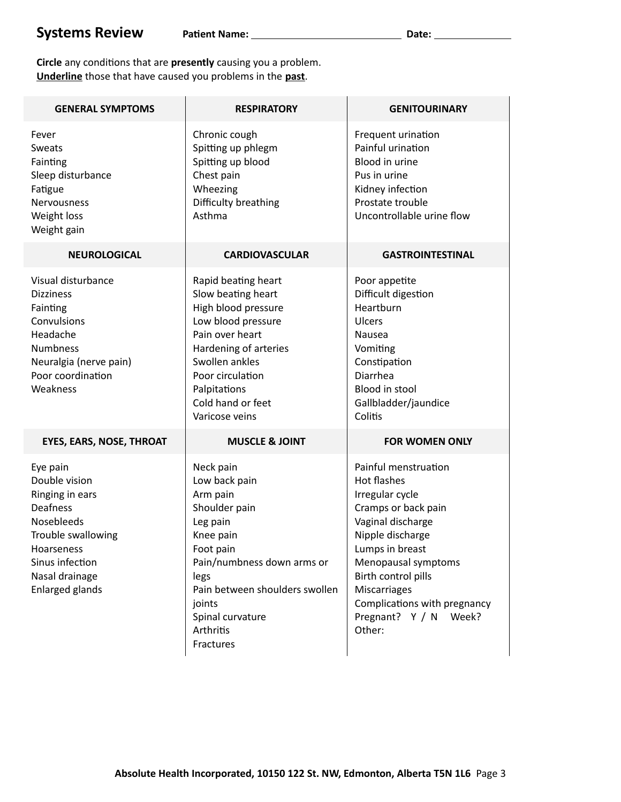**Circle** any conditions that are **presently** causing you a problem. **Underline** those that have caused you problems in the **past**.

| <b>GENERAL SYMPTOMS</b>                                                                                                                                                   | <b>RESPIRATORY</b>                                                                                                                                                                                                              | <b>GENITOURINARY</b>                                                                                                                                                                                                                                                          |
|---------------------------------------------------------------------------------------------------------------------------------------------------------------------------|---------------------------------------------------------------------------------------------------------------------------------------------------------------------------------------------------------------------------------|-------------------------------------------------------------------------------------------------------------------------------------------------------------------------------------------------------------------------------------------------------------------------------|
| Fever<br>Sweats<br>Fainting<br>Sleep disturbance<br>Fatigue<br>Nervousness<br>Weight loss<br>Weight gain                                                                  | Chronic cough<br>Spitting up phlegm<br>Spitting up blood<br>Chest pain<br>Wheezing<br>Difficulty breathing<br>Asthma                                                                                                            | Frequent urination<br>Painful urination<br><b>Blood in urine</b><br>Pus in urine<br>Kidney infection<br>Prostate trouble<br>Uncontrollable urine flow                                                                                                                         |
| <b>NEUROLOGICAL</b>                                                                                                                                                       | <b>CARDIOVASCULAR</b>                                                                                                                                                                                                           | <b>GASTROINTESTINAL</b>                                                                                                                                                                                                                                                       |
| Visual disturbance<br><b>Dizziness</b><br>Fainting<br>Convulsions<br>Headache<br><b>Numbness</b><br>Neuralgia (nerve pain)<br>Poor coordination<br>Weakness               | Rapid beating heart<br>Slow beating heart<br>High blood pressure<br>Low blood pressure<br>Pain over heart<br>Hardening of arteries<br>Swollen ankles<br>Poor circulation<br>Palpitations<br>Cold hand or feet<br>Varicose veins | Poor appetite<br>Difficult digestion<br>Heartburn<br>Ulcers<br><b>Nausea</b><br>Vomiting<br>Constipation<br>Diarrhea<br>Blood in stool<br>Gallbladder/jaundice<br>Colitis                                                                                                     |
| <b>EYES, EARS, NOSE, THROAT</b>                                                                                                                                           | <b>MUSCLE &amp; JOINT</b>                                                                                                                                                                                                       | <b>FOR WOMEN ONLY</b>                                                                                                                                                                                                                                                         |
| Eye pain<br>Double vision<br>Ringing in ears<br><b>Deafness</b><br>Nosebleeds<br>Trouble swallowing<br>Hoarseness<br>Sinus infection<br>Nasal drainage<br>Enlarged glands | Neck pain<br>Low back pain<br>Arm pain<br>Shoulder pain<br>Leg pain<br>Knee pain<br>Foot pain<br>Pain/numbness down arms or<br>legs<br>Pain between shoulders swollen<br>joints<br>Spinal curvature<br>Arthritis<br>Fractures   | Painful menstruation<br>Hot flashes<br>Irregular cycle<br>Cramps or back pain<br>Vaginal discharge<br>Nipple discharge<br>Lumps in breast<br>Menopausal symptoms<br>Birth control pills<br>Miscarriages<br>Complications with pregnancy<br>Pregnant? Y / N<br>Week?<br>Other: |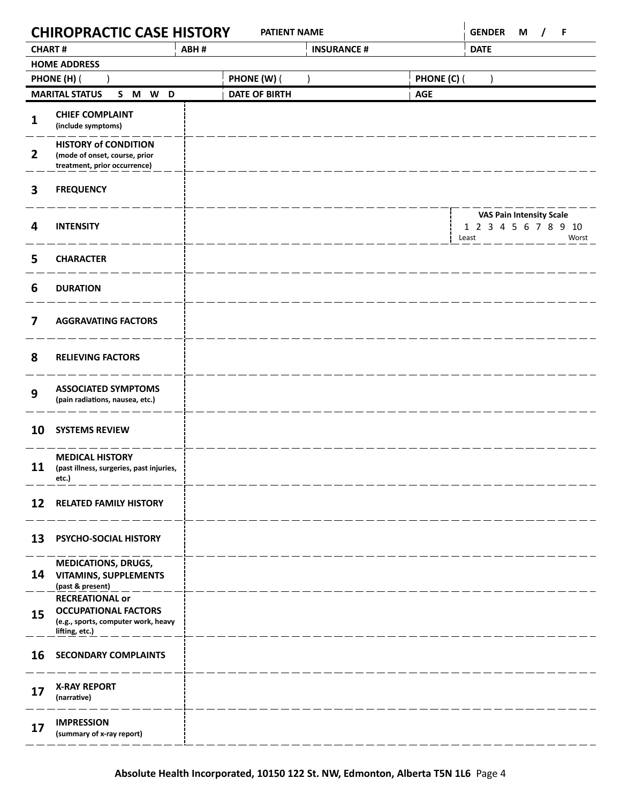|                | <b>CHIROPRACTIC CASE HISTORY</b>                                                                               |      |                      | <b>PATIENT NAME</b> |                    |             | <b>GENDER</b>                                                    | M<br>$\prime$ | -F    |
|----------------|----------------------------------------------------------------------------------------------------------------|------|----------------------|---------------------|--------------------|-------------|------------------------------------------------------------------|---------------|-------|
| <b>CHART#</b>  |                                                                                                                | ABH# |                      |                     | <b>INSURANCE #</b> |             | <b>DATE</b>                                                      |               |       |
|                | <b>HOME ADDRESS</b>                                                                                            |      |                      |                     |                    |             |                                                                  |               |       |
|                | PHONE (H) (                                                                                                    |      | PHONE (W) (          |                     |                    | PHONE (C) ( |                                                                  |               |       |
|                | <b>MARITAL STATUS</b><br>S M W D                                                                               |      | <b>DATE OF BIRTH</b> |                     |                    | <b>AGE</b>  |                                                                  |               |       |
| 1              | <b>CHIEF COMPLAINT</b><br>(include symptoms)                                                                   |      |                      |                     |                    |             |                                                                  |               |       |
| $\overline{2}$ | <b>HISTORY of CONDITION</b><br>(mode of onset, course, prior<br>treatment, prior occurrence)                   |      |                      |                     |                    |             |                                                                  |               |       |
| 3              | <b>FREQUENCY</b>                                                                                               |      |                      |                     |                    |             |                                                                  |               |       |
| 4              | <b>INTENSITY</b>                                                                                               |      |                      |                     |                    |             | <b>VAS Pain Intensity Scale</b><br>1 2 3 4 5 6 7 8 9 10<br>Least |               | Worst |
| 5              | <b>CHARACTER</b>                                                                                               |      |                      |                     |                    |             |                                                                  |               |       |
| 6              | <b>DURATION</b>                                                                                                |      |                      |                     |                    |             |                                                                  |               |       |
| 7              | <b>AGGRAVATING FACTORS</b>                                                                                     |      |                      |                     |                    |             |                                                                  |               |       |
| 8              | <b>RELIEVING FACTORS</b>                                                                                       |      |                      |                     |                    |             |                                                                  |               |       |
| 9              | <b>ASSOCIATED SYMPTOMS</b><br>(pain radiations, nausea, etc.)                                                  |      |                      |                     |                    |             |                                                                  |               |       |
| 10             | <b>SYSTEMS REVIEW</b>                                                                                          |      |                      |                     |                    |             |                                                                  |               |       |
| 11             | <b>MEDICAL HISTORY</b><br>(past illness, surgeries, past injuries,<br>etc.)                                    |      |                      |                     |                    |             |                                                                  |               |       |
| 12             | <b>RELATED FAMILY HISTORY</b>                                                                                  |      |                      |                     |                    |             |                                                                  |               |       |
| 13             | PSYCHO-SOCIAL HISTORY                                                                                          |      |                      |                     |                    |             |                                                                  |               |       |
| 14             | <b>MEDICATIONS, DRUGS,</b><br><b>VITAMINS, SUPPLEMENTS</b><br>(past & present)                                 |      |                      |                     |                    |             |                                                                  |               |       |
| 15             | <b>RECREATIONAL or</b><br><b>OCCUPATIONAL FACTORS</b><br>(e.g., sports, computer work, heavy<br>lifting, etc.) |      |                      |                     |                    |             |                                                                  |               |       |
| 16             | <b>SECONDARY COMPLAINTS</b>                                                                                    |      |                      |                     |                    |             |                                                                  |               |       |
| 17             | <b>X-RAY REPORT</b><br>(narrative)                                                                             |      |                      |                     |                    |             |                                                                  |               |       |
| 17             | <b>IMPRESSION</b><br>(summary of x-ray report)                                                                 |      |                      |                     |                    |             |                                                                  |               |       |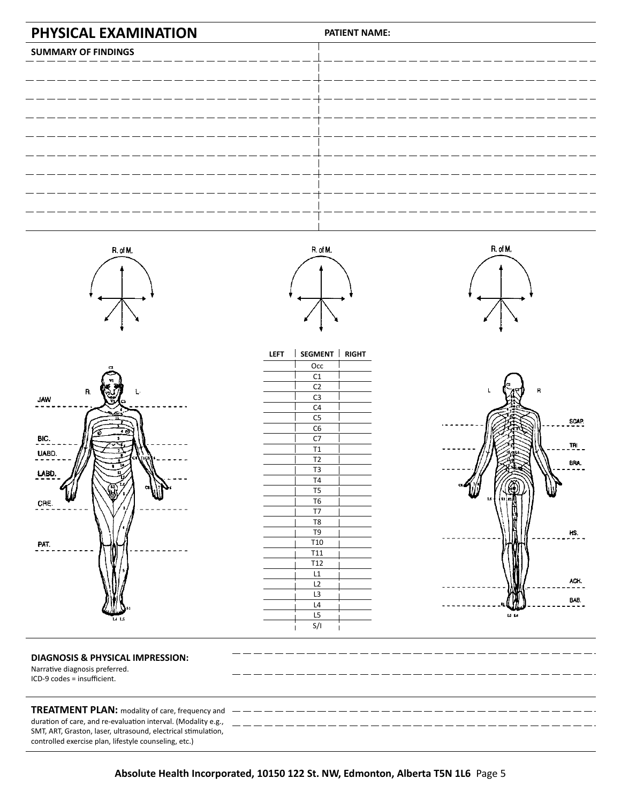







| <b>LEFT</b> | <b>SEGMENT</b>         | <b>RIGHT</b> |
|-------------|------------------------|--------------|
|             | Occ                    |              |
|             | C1                     |              |
|             | C <sub>2</sub>         |              |
|             | C <sub>3</sub>         |              |
|             | C4                     |              |
|             | $\overline{\text{C5}}$ |              |
|             | C <sub>6</sub>         |              |
|             | C7                     |              |
|             | T1                     |              |
|             | T <sub>2</sub>         |              |
|             | T <sub>3</sub>         |              |
|             | T <sub>4</sub>         |              |
|             | T5                     |              |
|             | T <sub>6</sub>         |              |
|             | T7                     |              |
|             | T <sub>8</sub>         |              |
|             | T <sub>9</sub>         |              |
|             | T <sub>10</sub>        |              |
|             | T <sub>11</sub>        |              |
|             | T <sub>12</sub>        |              |
|             | L1                     |              |
|             | L <sub>2</sub>         |              |
|             | L3                     |              |
|             | L4                     |              |
|             | L5                     |              |
|             | S/I                    |              |





### **DIAGNOSIS & PHYSICAL IMPRESSION:**

Narrative diagnosis preferred. ICD-9 codes = insufficient.

**TREATMENT PLAN:** modality of care, frequency and duration of care, and re-evaluation interval. (Modality e.g., SMT, ART, Graston, laser, ultrasound, electrical stimulation, controlled exercise plan, lifestyle counseling, etc.)

**Absolute Health Incorporated, 10150 122 St. NW, Edmonton, Alberta T5N 1L6** Page 5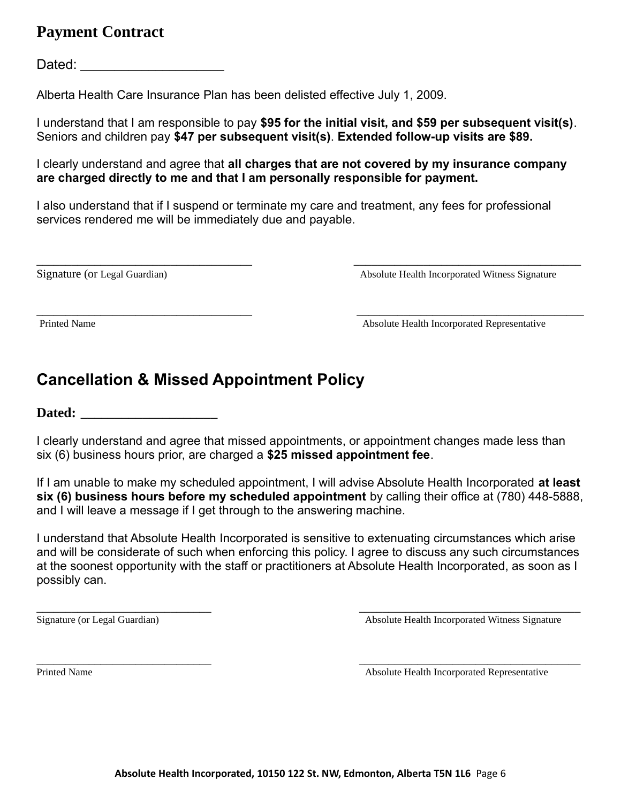## **Payment Contract**

Dated:  $\Box$ 

Alberta Health Care Insurance Plan has been delisted effective July 1, 2009.

I understand that I am responsible to pay **\$95 for the initial visit, and \$59 per subsequent visit(s)**. Seniors and children pay **\$47 per subsequent visit(s)**. **Extended follow-up visits are \$89.**

I clearly understand and agree that **all charges that are not covered by my insurance company are charged directly to me and that I am personally responsible for payment.**

I also understand that if I suspend or terminate my care and treatment, any fees for professional services rendered me will be immediately due and payable.

\_\_\_\_\_\_\_\_\_\_\_\_\_\_\_\_\_\_\_\_\_\_\_\_\_\_\_\_\_\_\_\_\_\_\_\_\_ \_\_\_\_\_\_\_\_\_\_\_\_\_\_\_\_\_\_\_\_\_\_\_\_\_\_\_\_\_\_\_\_\_\_\_\_\_\_\_

Signature (or Legal Guardian) Absolute Health Incorporated Witness Signature

\_\_\_\_\_\_\_\_\_\_\_\_\_\_\_\_\_\_\_\_\_\_\_\_\_\_\_\_\_\_\_\_\_\_\_\_\_ \_\_\_\_\_\_\_\_\_\_\_\_\_\_\_\_\_\_\_\_\_\_\_\_\_\_\_\_\_\_\_\_\_\_\_\_\_\_\_ Printed Name **Absolute Health Incorporated Representative** 

# **Cancellation & Missed Appointment Policy**

**Dated: \_\_\_\_\_\_\_\_\_\_\_\_\_\_\_\_\_\_\_\_** 

I clearly understand and agree that missed appointments, or appointment changes made less than six (6) business hours prior, are charged a **\$25 missed appointment fee**.

If I am unable to make my scheduled appointment, I will advise Absolute Health Incorporated **at least six (6) business hours before my scheduled appointment** by calling their office at (780) 448-5888, and I will leave a message if I get through to the answering machine.

I understand that Absolute Health Incorporated is sensitive to extenuating circumstances which arise and will be considerate of such when enforcing this policy. I agree to discuss any such circumstances at the soonest opportunity with the staff or practitioners at Absolute Health Incorporated, as soon as I possibly can.

 $\_$  , and the contribution of the contribution of  $\_$  . The contribution of the contribution of  $\_$  ,  $\_$ 

Signature (or Legal Guardian) Absolute Health Incorporated Witness Signature

 $\overline{\phantom{a}}$  , and the contract of the contract of the contract of the contract of the contract of the contract of the contract of the contract of the contract of the contract of the contract of the contract of the contrac Printed Name Absolute Health Incorporated Representative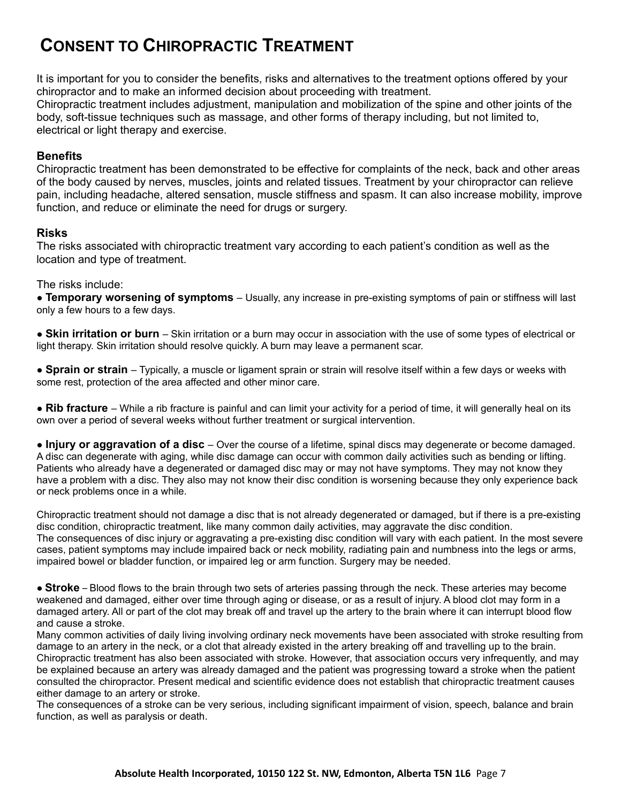# **CONSENT TO CHIROPRACTIC TREATMENT**

It is important for you to consider the benefits, risks and alternatives to the treatment options offered by your chiropractor and to make an informed decision about proceeding with treatment. Chiropractic treatment includes adjustment, manipulation and mobilization of the spine and other joints of the body, soft-tissue techniques such as massage, and other forms of therapy including, but not limited to, electrical or light therapy and exercise.

### **Benefits**

Chiropractic treatment has been demonstrated to be effective for complaints of the neck, back and other areas of the body caused by nerves, muscles, joints and related tissues. Treatment by your chiropractor can relieve pain, including headache, altered sensation, muscle stiffness and spasm. It can also increase mobility, improve function, and reduce or eliminate the need for drugs or surgery.

### **Risks**

The risks associated with chiropractic treatment vary according to each patient's condition as well as the location and type of treatment.

The risks include:

● **Temporary worsening of symptoms** – Usually, any increase in pre-existing symptoms of pain or stiffness will last only a few hours to a few days.

● **Skin irritation or burn** – Skin irritation or a burn may occur in association with the use of some types of electrical or light therapy. Skin irritation should resolve quickly. A burn may leave a permanent scar.

● **Sprain or strain** – Typically, a muscle or ligament sprain or strain will resolve itself within a few days or weeks with some rest, protection of the area affected and other minor care.

● **Rib fracture** – While a rib fracture is painful and can limit your activity for a period of time, it will generally heal on its own over a period of several weeks without further treatment or surgical intervention.

● **Injury or aggravation of a disc** – Over the course of a lifetime, spinal discs may degenerate or become damaged. A disc can degenerate with aging, while disc damage can occur with common daily activities such as bending or lifting. Patients who already have a degenerated or damaged disc may or may not have symptoms. They may not know they have a problem with a disc. They also may not know their disc condition is worsening because they only experience back or neck problems once in a while.

Chiropractic treatment should not damage a disc that is not already degenerated or damaged, but if there is a pre-existing disc condition, chiropractic treatment, like many common daily activities, may aggravate the disc condition. The consequences of disc injury or aggravating a pre-existing disc condition will vary with each patient. In the most severe cases, patient symptoms may include impaired back or neck mobility, radiating pain and numbness into the legs or arms, impaired bowel or bladder function, or impaired leg or arm function. Surgery may be needed.

● **Stroke** – Blood flows to the brain through two sets of arteries passing through the neck. These arteries may become weakened and damaged, either over time through aging or disease, or as a result of injury. A blood clot may form in a damaged artery. All or part of the clot may break off and travel up the artery to the brain where it can interrupt blood flow and cause a stroke.

Many common activities of daily living involving ordinary neck movements have been associated with stroke resulting from damage to an artery in the neck, or a clot that already existed in the artery breaking off and travelling up to the brain. Chiropractic treatment has also been associated with stroke. However, that association occurs very infrequently, and may be explained because an artery was already damaged and the patient was progressing toward a stroke when the patient consulted the chiropractor. Present medical and scientific evidence does not establish that chiropractic treatment causes either damage to an artery or stroke.

The consequences of a stroke can be very serious, including significant impairment of vision, speech, balance and brain function, as well as paralysis or death.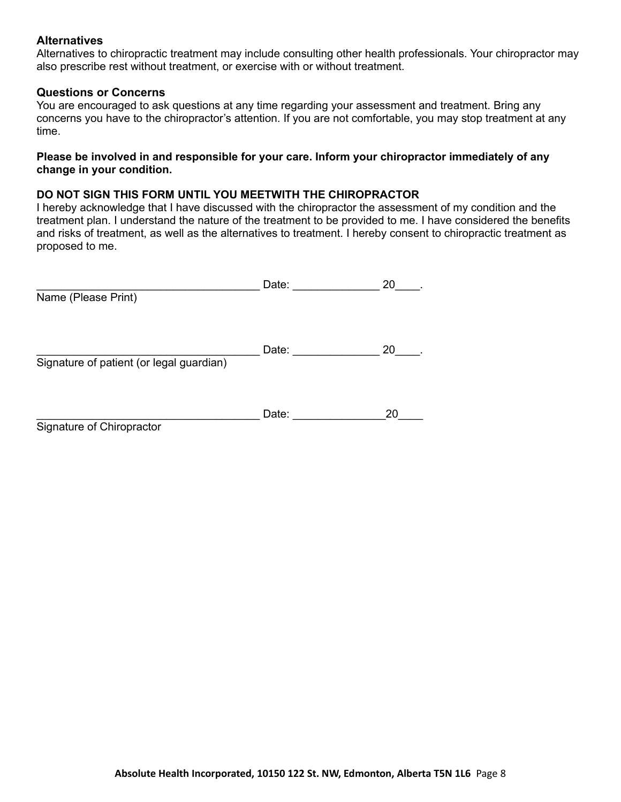#### **Alternatives**

Alternatives to chiropractic treatment may include consulting other health professionals. Your chiropractor may also prescribe rest without treatment, or exercise with or without treatment.

#### **Questions or Concerns**

You are encouraged to ask questions at any time regarding your assessment and treatment. Bring any concerns you have to the chiropractor's attention. If you are not comfortable, you may stop treatment at any time.

#### **Please be involved in and responsible for your care. Inform your chiropractor immediately of any change in your condition.**

#### **DO NOT SIGN THIS FORM UNTIL YOU MEETWITH THE CHIROPRACTOR**

I hereby acknowledge that I have discussed with the chiropractor the assessment of my condition and the treatment plan. I understand the nature of the treatment to be provided to me. I have considered the benefits and risks of treatment, as well as the alternatives to treatment. I hereby consent to chiropractic treatment as proposed to me.

|                                          | Date: | 20 |
|------------------------------------------|-------|----|
| Name (Please Print)                      |       |    |
|                                          |       |    |
|                                          |       |    |
|                                          | Date: | 20 |
| Signature of patient (or legal guardian) |       |    |
|                                          |       |    |
|                                          | Date: | 20 |
| Signature of Chiropractor                |       |    |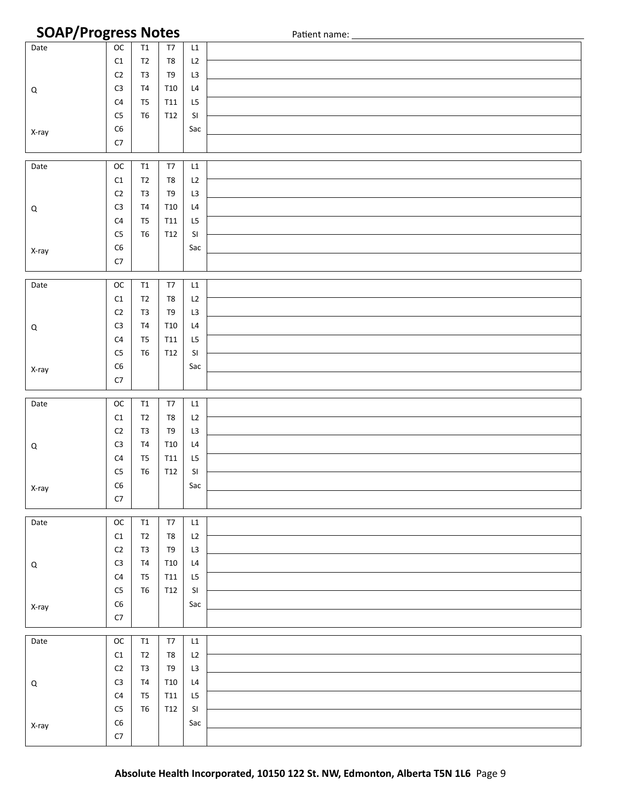## **SOAP/Progress Notes** Patient name:

| . <i>.</i> <del>.</del> |                          |                |                         |                      | $\frac{1}{2}$ |
|-------------------------|--------------------------|----------------|-------------------------|----------------------|---------------|
| Date                    | $_{\mathsf{OC}}$         | $\mathsf{T1}$  | T7                      | L1                   |               |
|                         | $\mathtt{C1}$            | $\mathsf{T2}$  | $\sf T8$                | L2                   |               |
|                         | $\mathsf{C2}$            | $\mathsf{T}3$  | T9                      | L3                   |               |
|                         | C <sub>3</sub>           | $\mathsf{T}4$  | <b>T10</b>              |                      |               |
| $\mathsf Q$             |                          |                |                         | L4                   |               |
|                         | $\mathsf{C}4$            | $\mathsf{T}5$  | <b>T11</b>              | L5                   |               |
|                         | ${\sf C}5$               | ${\tt T6}$     | T12                     | SI                   |               |
| X-ray                   | ${\sf C6}$               |                |                         | Sac                  |               |
|                         | ${\sf C7}$               |                |                         |                      |               |
|                         |                          |                |                         |                      |               |
| Date                    | $_{\rm OC}$              | T1             | T7                      | L1                   |               |
|                         | C1                       | $\mathsf{T2}$  | T8                      | L2                   |               |
|                         | $\mathsf{C2}$            | $T3$           | T9                      | L3                   |               |
|                         | $\mathsf{C}3$            |                |                         |                      |               |
| $\mathsf Q$             |                          | T <sub>4</sub> | <b>T10</b>              | L4                   |               |
|                         | $\mathsf{C}4$            | T <sub>5</sub> | <b>T11</b>              | L5                   |               |
|                         | $\mathsf{C}5$            | T6             | T12                     | SI                   |               |
| X-ray                   | ${\sf C6}$               |                |                         | Sac                  |               |
|                         | ${\sf C7}$               |                |                         |                      |               |
|                         |                          |                |                         |                      |               |
| Date                    | $_{\mathsf{OC}}$         | T1             | T7                      | L1                   |               |
|                         | C1                       | $\mathsf{T2}$  | T8                      | L2                   |               |
|                         |                          |                |                         |                      |               |
|                         | $\mathsf{C2}$            | T <sub>3</sub> | T9                      | L3                   |               |
| $\mathsf Q$             | C <sub>3</sub>           | $\mathsf{T}4$  | <b>T10</b>              | L4                   |               |
|                         | $\mathsf{C}4$            | $\mathsf{T}5$  | <b>T11</b>              | L5                   |               |
|                         | ${\sf C}5$               | T <sub>6</sub> | T12                     | SI                   |               |
| X-ray                   | ${\sf C6}$               |                |                         | Sac                  |               |
|                         | ${\sf C7}$               |                |                         |                      |               |
|                         |                          |                |                         |                      |               |
|                         |                          |                |                         |                      |               |
|                         |                          |                |                         |                      |               |
| Date                    | $_{\mathsf{OC}}$         | T1             | T7                      | L1                   |               |
|                         | C1                       | $\mathsf{T2}$  | T8                      | L2                   |               |
|                         | $\mathsf{C2}$            | $T3$           | T <sub>9</sub>          | L3                   |               |
| $\mathsf Q$             | $\mathsf{C}3$            | $\mathsf{T}4$  | T10                     | L4                   |               |
|                         | $\mathsf{C}4$            | $\mathsf{T}5$  | <b>T11</b>              | L5                   |               |
|                         |                          |                |                         |                      |               |
|                         | ${\sf C}5$               | T6             | T12                     | SI                   |               |
| X-ray                   | ${\sf C6}$               |                |                         | Sac                  |               |
|                         | ${\sf C7}$               |                |                         |                      |               |
|                         |                          |                |                         |                      |               |
| Date                    | $_{\rm OC}$              | T1             | $\sf{T}7$               | L1                   |               |
|                         | $\mathsf{C1}$            | T <sub>2</sub> | T8                      | L2                   |               |
|                         | C <sub>2</sub>           | T <sub>3</sub> | T <sub>9</sub>          | L3                   |               |
| Q                       | C <sub>3</sub>           | T4             | T10                     | L4                   |               |
|                         | C <sub>4</sub>           | T <sub>5</sub> | T11                     | L5                   |               |
|                         |                          |                |                         |                      |               |
|                         | ${\sf C}5$               | T <sub>6</sub> | T12                     | $\mathsf{SI}\xspace$ |               |
| X-ray                   | ${\sf C6}$               |                |                         | Sac                  |               |
|                         | C7                       |                |                         |                      |               |
|                         |                          |                |                         |                      |               |
| Date                    | $_{\rm OC}$              | $\mathsf{T1}$  | $\mathsf{T} \mathsf{7}$ | L1                   |               |
|                         | $\mathsf{C1}$            | $\mathsf{T2}$  | T8                      | L2                   |               |
|                         | $\mathsf{C2}$            | T <sub>3</sub> | T <sub>9</sub>          | L3                   |               |
|                         | C <sub>3</sub>           | T <sub>4</sub> | T10                     | L4                   |               |
| Q                       |                          |                |                         |                      |               |
|                         | C <sub>4</sub>           | T <sub>5</sub> | T11                     | L5                   |               |
|                         | ${\sf C}5$               | T <sub>6</sub> | T12                     | $\mathsf{SI}\xspace$ |               |
| X-ray                   | ${\sf C6}$<br>${\sf C7}$ |                |                         | Sac                  |               |